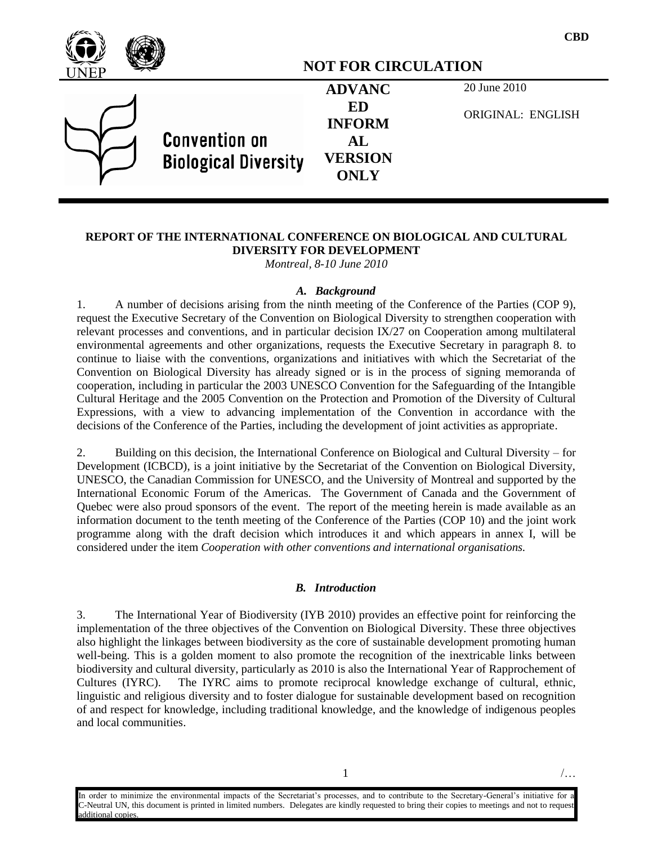

#### **REPORT OF THE INTERNATIONAL CONFERENCE ON BIOLOGICAL AND CULTURAL DIVERSITY FOR DEVELOPMENT**

*Montreal, 8-10 June 2010*

#### *A. Background*

1. A number of decisions arising from the ninth meeting of the Conference of the Parties (COP 9), request the Executive Secretary of the Convention on Biological Diversity to strengthen cooperation with relevant processes and conventions, and in particular decision IX/27 on Cooperation among multilateral environmental agreements and other organizations, requests the Executive Secretary in paragraph 8. to continue to liaise with the conventions, organizations and initiatives with which the Secretariat of the Convention on Biological Diversity has already signed or is in the process of signing memoranda of cooperation, including in particular the 2003 UNESCO Convention for the Safeguarding of the Intangible Cultural Heritage and the 2005 Convention on the Protection and Promotion of the Diversity of Cultural Expressions, with a view to advancing implementation of the Convention in accordance with the decisions of the Conference of the Parties, including the development of joint activities as appropriate.

2. Building on this decision, the International Conference on Biological and Cultural Diversity – for Development (ICBCD), is a joint initiative by the Secretariat of the Convention on Biological Diversity, UNESCO, the Canadian Commission for UNESCO, and the University of Montreal and supported by the International Economic Forum of the Americas. The Government of Canada and the Government of Quebec were also proud sponsors of the event. The report of the meeting herein is made available as an information document to the tenth meeting of the Conference of the Parties (COP 10) and the joint work programme along with the draft decision which introduces it and which appears in annex I, will be considered under the item *Cooperation with other conventions and international organisations.*

#### *B. Introduction*

3. The International Year of Biodiversity (IYB 2010) provides an effective point for reinforcing the implementation of the three objectives of the Convention on Biological Diversity. These three objectives also highlight the linkages between biodiversity as the core of sustainable development promoting human well-being. This is a golden moment to also promote the recognition of the inextricable links between biodiversity and cultural diversity, particularly as 2010 is also the International Year of Rapprochement of Cultures (IYRC). The IYRC aims to promote reciprocal knowledge exchange of cultural, ethnic, linguistic and religious diversity and to foster dialogue for sustainable development based on recognition of and respect for knowledge, including traditional knowledge, and the knowledge of indigenous peoples and local communities.

In order to minimize the environmental impacts of the Secretariat's processes, and to contribute to the Secretary-General's initiative for a C-Neutral UN, this document is printed in limited numbers. Delegates are kindly requested to bring their copies to meetings and not to request additional copies.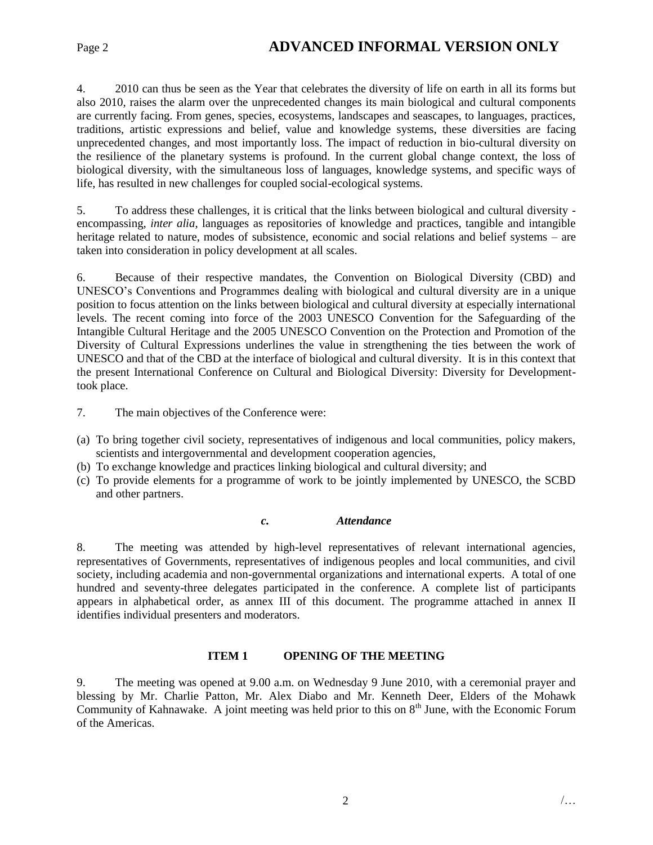### Page 2 **ADVANCED INFORMAL VERSION ONLY**

4. 2010 can thus be seen as the Year that celebrates the diversity of life on earth in all its forms but also 2010, raises the alarm over the unprecedented changes its main biological and cultural components are currently facing. From genes, species, ecosystems, landscapes and seascapes, to languages, practices, traditions, artistic expressions and belief, value and knowledge systems, these diversities are facing unprecedented changes, and most importantly loss. The impact of reduction in bio-cultural diversity on the resilience of the planetary systems is profound. In the current global change context, the loss of biological diversity, with the simultaneous loss of languages, knowledge systems, and specific ways of life, has resulted in new challenges for coupled social-ecological systems.

5. To address these challenges, it is critical that the links between biological and cultural diversity encompassing, *inter alia*, languages as repositories of knowledge and practices, tangible and intangible heritage related to nature, modes of subsistence, economic and social relations and belief systems – are taken into consideration in policy development at all scales.

6. Because of their respective mandates, the Convention on Biological Diversity (CBD) and UNESCO's Conventions and Programmes dealing with biological and cultural diversity are in a unique position to focus attention on the links between biological and cultural diversity at especially international levels. The recent coming into force of the 2003 UNESCO Convention for the Safeguarding of the Intangible Cultural Heritage and the 2005 UNESCO Convention on the Protection and Promotion of the Diversity of Cultural Expressions underlines the value in strengthening the ties between the work of UNESCO and that of the CBD at the interface of biological and cultural diversity. It is in this context that the present International Conference on Cultural and Biological Diversity: Diversity for Developmenttook place.

7. The main objectives of the Conference were:

- (a) To bring together civil society, representatives of indigenous and local communities, policy makers, scientists and intergovernmental and development cooperation agencies,
- (b) To exchange knowledge and practices linking biological and cultural diversity; and
- (c) To provide elements for a programme of work to be jointly implemented by UNESCO, the SCBD and other partners.

#### *c. Attendance*

8. The meeting was attended by high-level representatives of relevant international agencies, representatives of Governments, representatives of indigenous peoples and local communities, and civil society, including academia and non-governmental organizations and international experts. A total of one hundred and seventy-three delegates participated in the conference. A complete list of participants appears in alphabetical order, as annex III of this document. The programme attached in annex II identifies individual presenters and moderators.

#### **ITEM 1 OPENING OF THE MEETING**

9. The meeting was opened at 9.00 a.m. on Wednesday 9 June 2010, with a ceremonial prayer and blessing by Mr. Charlie Patton, Mr. Alex Diabo and Mr. Kenneth Deer, Elders of the Mohawk Community of Kahnawake. A joint meeting was held prior to this on 8<sup>th</sup> June, with the Economic Forum of the Americas.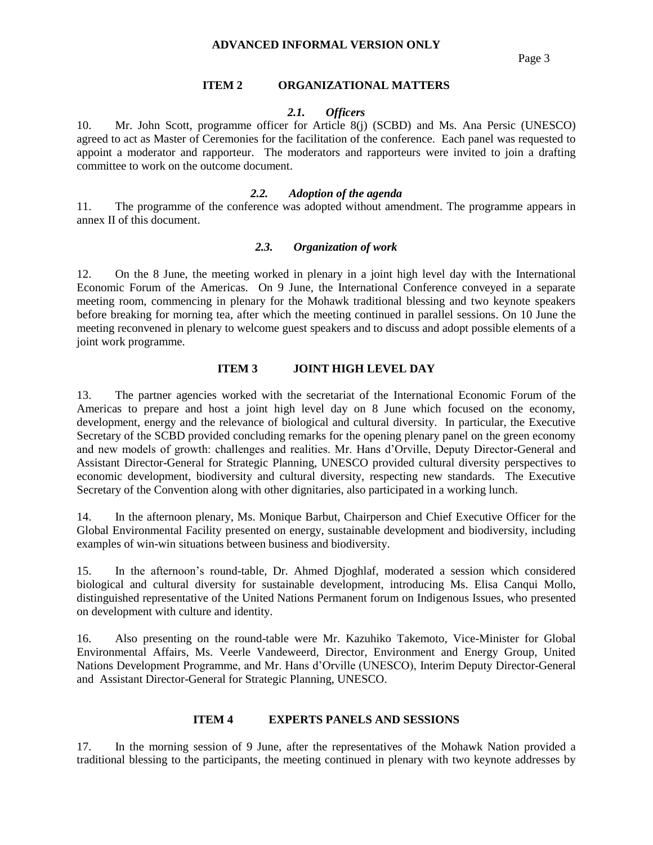Page 3

#### **ITEM 2 ORGANIZATIONAL MATTERS**

#### *2.1. Officers*

10. Mr. John Scott, programme officer for Article 8(j) (SCBD) and Ms. Ana Persic (UNESCO) agreed to act as Master of Ceremonies for the facilitation of the conference. Each panel was requested to appoint a moderator and rapporteur. The moderators and rapporteurs were invited to join a drafting committee to work on the outcome document.

#### *2.2. Adoption of the agenda*

11. The programme of the conference was adopted without amendment. The programme appears in annex II of this document.

#### *2.3. Organization of work*

12. On the 8 June, the meeting worked in plenary in a joint high level day with the International Economic Forum of the Americas. On 9 June, the International Conference conveyed in a separate meeting room, commencing in plenary for the Mohawk traditional blessing and two keynote speakers before breaking for morning tea, after which the meeting continued in parallel sessions. On 10 June the meeting reconvened in plenary to welcome guest speakers and to discuss and adopt possible elements of a joint work programme.

#### **ITEM 3 JOINT HIGH LEVEL DAY**

13. The partner agencies worked with the secretariat of the International Economic Forum of the Americas to prepare and host a joint high level day on 8 June which focused on the economy, development, energy and the relevance of biological and cultural diversity. In particular, the Executive Secretary of the SCBD provided concluding remarks for the opening plenary panel on the green economy and new models of growth: challenges and realities. Mr. Hans d'Orville, Deputy Director-General and Assistant Director-General for Strategic Planning, UNESCO provided cultural diversity perspectives to economic development, biodiversity and cultural diversity, respecting new standards. The Executive Secretary of the Convention along with other dignitaries, also participated in a working lunch.

14. In the afternoon plenary, Ms. Monique Barbut, Chairperson and Chief Executive Officer for the Global Environmental Facility presented on energy, sustainable development and biodiversity, including examples of win-win situations between business and biodiversity.

15. In the afternoon's round-table, Dr. Ahmed Djoghlaf, moderated a session which considered biological and cultural diversity for sustainable development, introducing Ms. Elisa Canqui Mollo, distinguished representative of the United Nations Permanent forum on Indigenous Issues, who presented on development with culture and identity.

16. Also presenting on the round-table were Mr. Kazuhiko Takemoto, Vice-Minister for Global Environmental Affairs, Ms. Veerle Vandeweerd, Director, Environment and Energy Group, United Nations Development Programme, and Mr. Hans d'Orville (UNESCO), Interim Deputy Director-General and Assistant Director-General for Strategic Planning, UNESCO.

#### **ITEM 4 EXPERTS PANELS AND SESSIONS**

17. In the morning session of 9 June, after the representatives of the Mohawk Nation provided a traditional blessing to the participants, the meeting continued in plenary with two keynote addresses by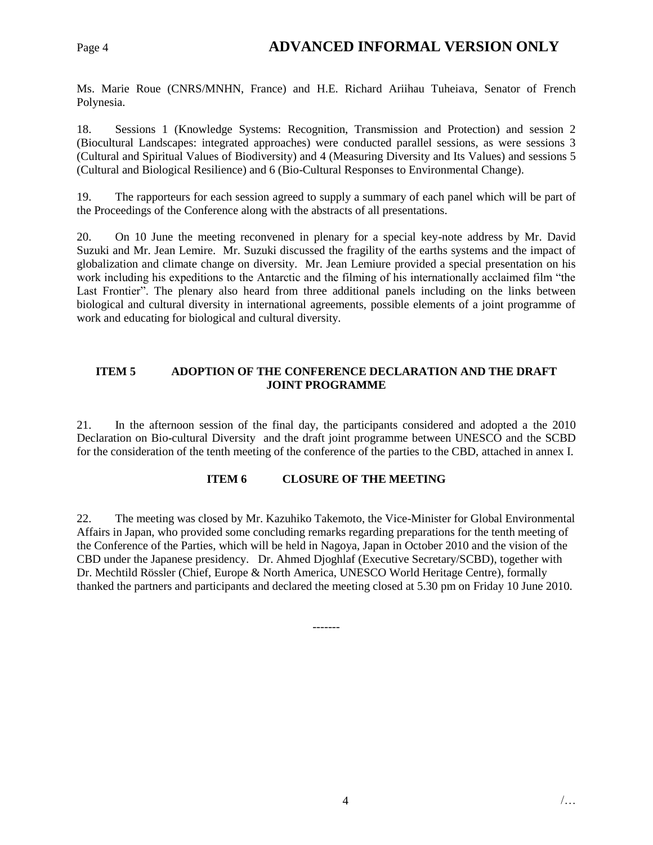### Page 4 **ADVANCED INFORMAL VERSION ONLY**

Ms. Marie Roue (CNRS/MNHN, France) and H.E. Richard Ariihau Tuheiava, Senator of French Polynesia.

18. Sessions 1 (Knowledge Systems: Recognition, Transmission and Protection) and session 2 (Biocultural Landscapes: integrated approaches) were conducted parallel sessions, as were sessions 3 (Cultural and Spiritual Values of Biodiversity) and 4 (Measuring Diversity and Its Values) and sessions 5 (Cultural and Biological Resilience) and 6 (Bio-Cultural Responses to Environmental Change).

19. The rapporteurs for each session agreed to supply a summary of each panel which will be part of the Proceedings of the Conference along with the abstracts of all presentations.

20. On 10 June the meeting reconvened in plenary for a special key-note address by Mr. David Suzuki and Mr. Jean Lemire. Mr. Suzuki discussed the fragility of the earths systems and the impact of globalization and climate change on diversity. Mr. Jean Lemiure provided a special presentation on his work including his expeditions to the Antarctic and the filming of his internationally acclaimed film "the Last Frontier". The plenary also heard from three additional panels including on the links between biological and cultural diversity in international agreements, possible elements of a joint programme of work and educating for biological and cultural diversity.

#### **ITEM 5 ADOPTION OF THE CONFERENCE DECLARATION AND THE DRAFT JOINT PROGRAMME**

21. In the afternoon session of the final day, the participants considered and adopted a the 2010 Declaration on Bio-cultural Diversity and the draft joint programme between UNESCO and the SCBD for the consideration of the tenth meeting of the conference of the parties to the CBD, attached in annex I.

#### **ITEM 6 CLOSURE OF THE MEETING**

22. The meeting was closed by Mr. Kazuhiko Takemoto, the Vice-Minister for Global Environmental Affairs in Japan, who provided some concluding remarks regarding preparations for the tenth meeting of the Conference of the Parties, which will be held in Nagoya, Japan in October 2010 and the vision of the CBD under the Japanese presidency. Dr. Ahmed Djoghlaf (Executive Secretary/SCBD), together with Dr. Mechtild Rössler (Chief, Europe & North America, UNESCO World Heritage Centre), formally thanked the partners and participants and declared the meeting closed at 5.30 pm on Friday 10 June 2010.

-------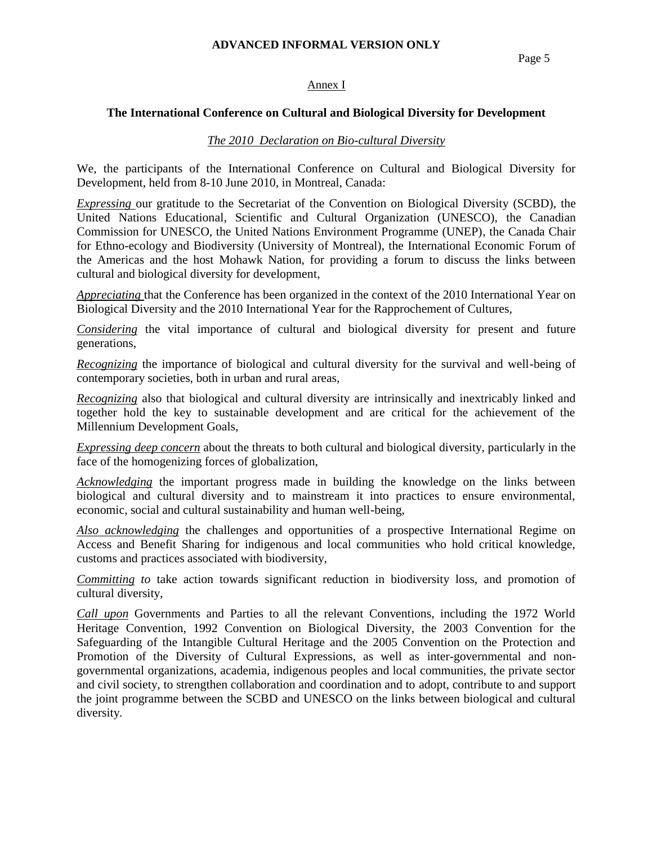Page 5

#### Annex I

#### **The International Conference on Cultural and Biological Diversity for Development**

#### *The 2010 Declaration on Bio-cultural Diversity*

We, the participants of the International Conference on Cultural and Biological Diversity for Development, held from 8-10 June 2010, in Montreal, Canada:

*Expressing* our gratitude to the Secretariat of the Convention on Biological Diversity (SCBD), the United Nations Educational, Scientific and Cultural Organization (UNESCO), the Canadian Commission for UNESCO, the United Nations Environment Programme (UNEP), the Canada Chair for Ethno-ecology and Biodiversity (University of Montreal), the International Economic Forum of the Americas and the host Mohawk Nation, for providing a forum to discuss the links between cultural and biological diversity for development,

*Appreciating* that the Conference has been organized in the context of the 2010 International Year on Biological Diversity and the 2010 International Year for the Rapprochement of Cultures,

*Considering* the vital importance of cultural and biological diversity for present and future generations,

*Recognizing* the importance of biological and cultural diversity for the survival and well-being of contemporary societies, both in urban and rural areas,

*Recognizing* also that biological and cultural diversity are intrinsically and inextricably linked and together hold the key to sustainable development and are critical for the achievement of the Millennium Development Goals,

*Expressing deep concern* about the threats to both cultural and biological diversity, particularly in the face of the homogenizing forces of globalization,

*Acknowledging* the important progress made in building the knowledge on the links between biological and cultural diversity and to mainstream it into practices to ensure environmental, economic, social and cultural sustainability and human well-being,

*Also acknowledging* the challenges and opportunities of a prospective International Regime on Access and Benefit Sharing for indigenous and local communities who hold critical knowledge, customs and practices associated with biodiversity,

*Committing to* take action towards significant reduction in biodiversity loss, and promotion of cultural diversity,

*Call upon* Governments and Parties to all the relevant Conventions, including the 1972 World Heritage Convention, 1992 Convention on Biological Diversity, the 2003 Convention for the Safeguarding of the Intangible Cultural Heritage and the 2005 Convention on the Protection and Promotion of the Diversity of Cultural Expressions, as well as inter-governmental and nongovernmental organizations, academia, indigenous peoples and local communities, the private sector and civil society, to strengthen collaboration and coordination and to adopt, contribute to and support the joint programme between the SCBD and UNESCO on the links between biological and cultural diversity.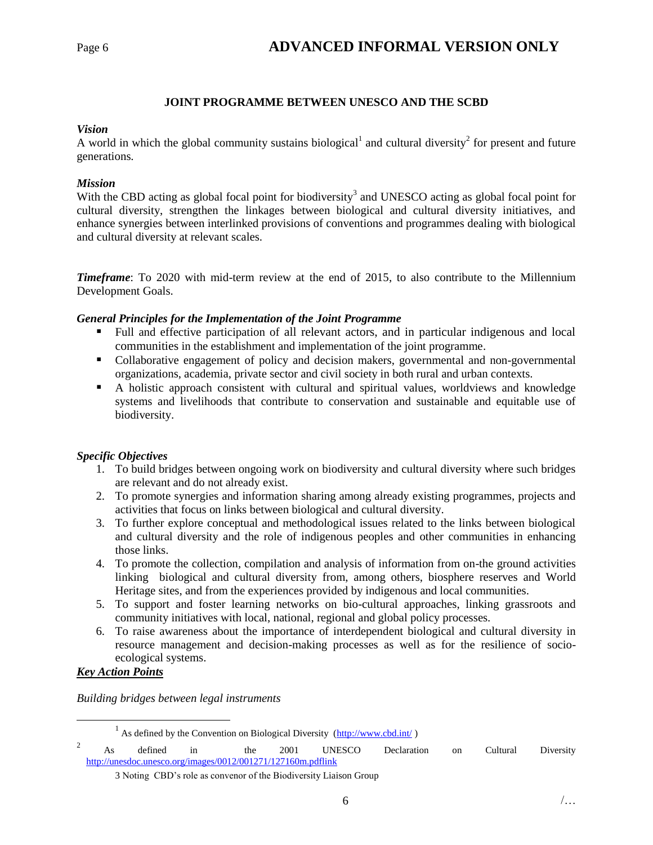#### **JOINT PROGRAMME BETWEEN UNESCO AND THE SCBD**

#### *Vision*

A world in which the global community sustains biological<sup>1</sup> and cultural diversity<sup>2</sup> for present and future generations.

#### *Mission*

With the CBD acting as global focal point for biodiversity<sup>3</sup> and UNESCO acting as global focal point for cultural diversity, strengthen the linkages between biological and cultural diversity initiatives, and enhance synergies between interlinked provisions of conventions and programmes dealing with biological and cultural diversity at relevant scales.

*Timeframe*: To 2020 with mid-term review at the end of 2015, to also contribute to the Millennium Development Goals.

#### *General Principles for the Implementation of the Joint Programme*

- Full and effective participation of all relevant actors, and in particular indigenous and local communities in the establishment and implementation of the joint programme.
- Collaborative engagement of policy and decision makers, governmental and non-governmental organizations, academia, private sector and civil society in both rural and urban contexts.
- A holistic approach consistent with cultural and spiritual values, worldviews and knowledge systems and livelihoods that contribute to conservation and sustainable and equitable use of biodiversity.

#### *Specific Objectives*

- 1. To build bridges between ongoing work on biodiversity and cultural diversity where such bridges are relevant and do not already exist.
- 2. To promote synergies and information sharing among already existing programmes, projects and activities that focus on links between biological and cultural diversity.
- 3. To further explore conceptual and methodological issues related to the links between biological and cultural diversity and the role of indigenous peoples and other communities in enhancing those links.
- 4. To promote the collection, compilation and analysis of information from on-the ground activities linking biological and cultural diversity from, among others, biosphere reserves and World Heritage sites, and from the experiences provided by indigenous and local communities.
- 5. To support and foster learning networks on bio-cultural approaches, linking grassroots and community initiatives with local, national, regional and global policy processes.
- 6. To raise awareness about the importance of interdependent biological and cultural diversity in resource management and decision-making processes as well as for the resilience of socioecological systems.

#### *Key Action Points*

 $\overline{a}$ 

*Building bridges between legal instruments*

<sup>&</sup>lt;sup>1</sup> As defined by the Convention on Biological Diversity  $(\frac{http://www.cbd.int/}{http://www.cbd.int/})$ 

<sup>2</sup> As defined in the 2001 UNESCO Declaration on Cultural Diversity <http://unesdoc.unesco.org/images/0012/001271/127160m.pdflink>

<sup>3</sup> Noting CBD's role as convenor of the Biodiversity Liaison Group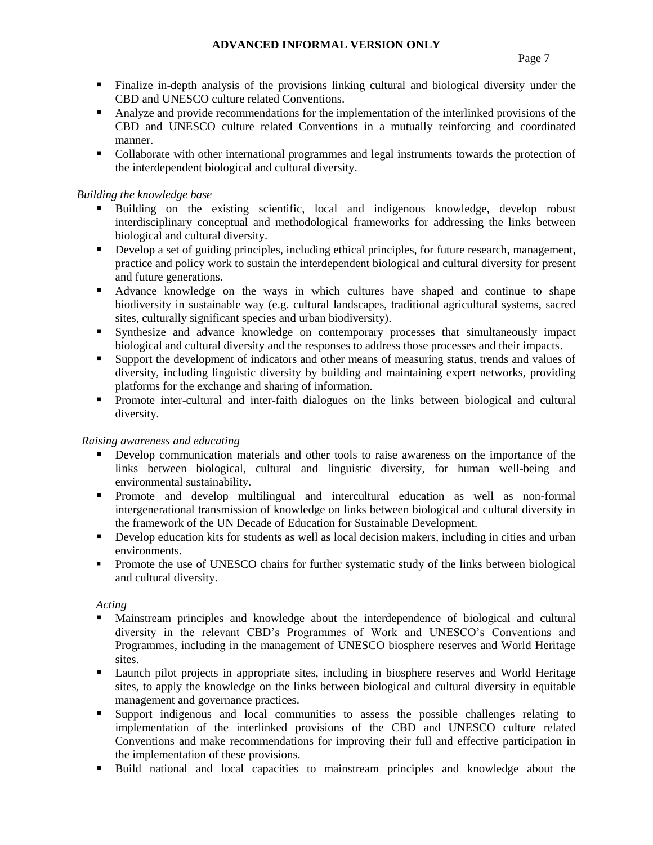- Finalize in-depth analysis of the provisions linking cultural and biological diversity under the CBD and UNESCO culture related Conventions.
- Analyze and provide recommendations for the implementation of the interlinked provisions of the CBD and UNESCO culture related Conventions in a mutually reinforcing and coordinated manner.
- Collaborate with other international programmes and legal instruments towards the protection of the interdependent biological and cultural diversity.

#### *Building the knowledge base*

- Building on the existing scientific, local and indigenous knowledge, develop robust interdisciplinary conceptual and methodological frameworks for addressing the links between biological and cultural diversity.
- Develop a set of guiding principles, including ethical principles, for future research, management, practice and policy work to sustain the interdependent biological and cultural diversity for present and future generations.
- Advance knowledge on the ways in which cultures have shaped and continue to shape biodiversity in sustainable way (e.g. cultural landscapes, traditional agricultural systems, sacred sites, culturally significant species and urban biodiversity).
- Synthesize and advance knowledge on contemporary processes that simultaneously impact biological and cultural diversity and the responses to address those processes and their impacts.
- Support the development of indicators and other means of measuring status, trends and values of diversity, including linguistic diversity by building and maintaining expert networks, providing platforms for the exchange and sharing of information.
- **Promote inter-cultural and inter-faith dialogues on the links between biological and cultural** diversity.

#### *Raising awareness and educating*

- Develop communication materials and other tools to raise awareness on the importance of the links between biological, cultural and linguistic diversity, for human well-being and environmental sustainability.
- Promote and develop multilingual and intercultural education as well as non-formal intergenerational transmission of knowledge on links between biological and cultural diversity in the framework of the UN Decade of Education for Sustainable Development.
- Develop education kits for students as well as local decision makers, including in cities and urban environments.
- Promote the use of UNESCO chairs for further systematic study of the links between biological and cultural diversity.

*Acting*

- Mainstream principles and knowledge about the interdependence of biological and cultural diversity in the relevant CBD's Programmes of Work and UNESCO's Conventions and Programmes, including in the management of UNESCO biosphere reserves and World Heritage sites.
- **Example 1** Launch pilot projects in appropriate sites, including in biosphere reserves and World Heritage sites, to apply the knowledge on the links between biological and cultural diversity in equitable management and governance practices.
- Support indigenous and local communities to assess the possible challenges relating to implementation of the interlinked provisions of the CBD and UNESCO culture related Conventions and make recommendations for improving their full and effective participation in the implementation of these provisions.
- Build national and local capacities to mainstream principles and knowledge about the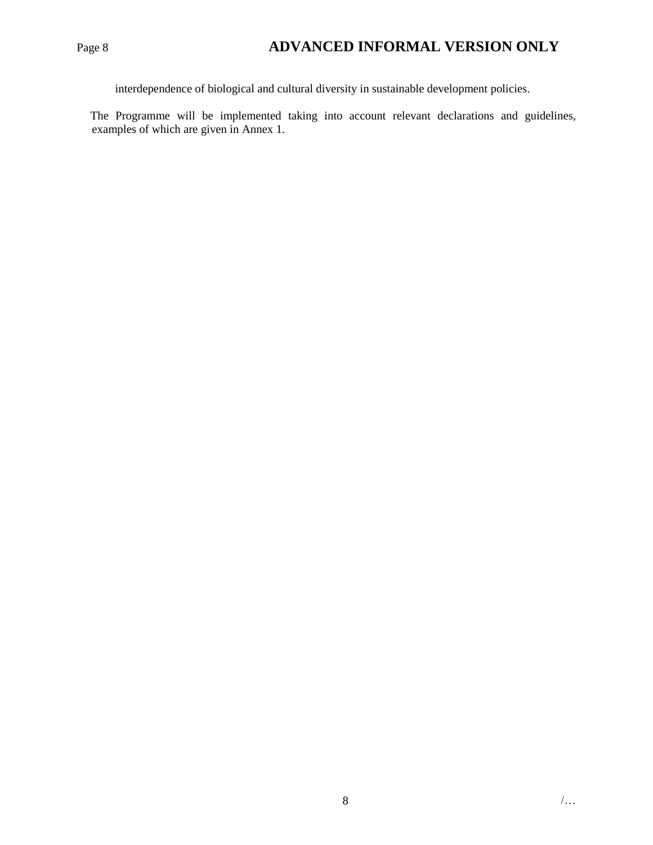### Page 8 **ADVANCED INFORMAL VERSION ONLY**

interdependence of biological and cultural diversity in sustainable development policies.

The Programme will be implemented taking into account relevant declarations and guidelines, examples of which are given in Annex 1.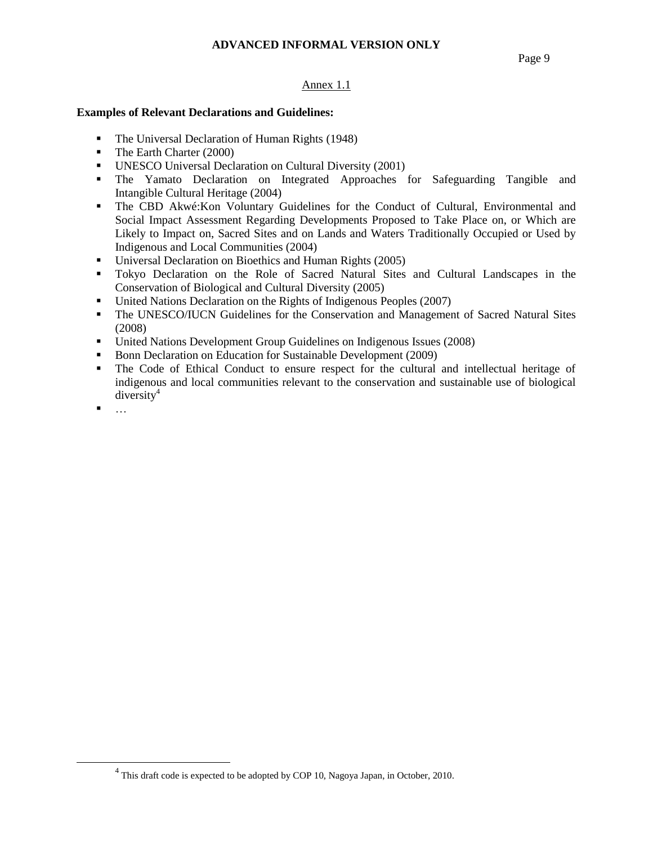#### Page 9

#### Annex 1.1

#### **Examples of Relevant Declarations and Guidelines:**

- The Universal Declaration of Human Rights (1948)
- The Earth Charter (2000)
- UNESCO Universal Declaration on Cultural Diversity (2001)
- The Yamato Declaration on Integrated Approaches for Safeguarding Tangible and Intangible Cultural Heritage (2004)
- The CBD Akwé:Kon Voluntary Guidelines for the Conduct of Cultural, Environmental and Social Impact Assessment Regarding Developments Proposed to Take Place on, or Which are Likely to Impact on, Sacred Sites and on Lands and Waters Traditionally Occupied or Used by Indigenous and Local Communities (2004)
- Universal Declaration on Bioethics and Human Rights (2005)
- Tokyo Declaration on the Role of Sacred Natural Sites and Cultural Landscapes in the Conservation of Biological and Cultural Diversity (2005)
- United Nations Declaration on the Rights of Indigenous Peoples (2007)
- The UNESCO/IUCN Guidelines for the Conservation and Management of Sacred Natural Sites (2008)
- United Nations Development Group Guidelines on Indigenous Issues (2008)
- Bonn Declaration on Education for Sustainable Development (2009)
- The Code of Ethical Conduct to ensure respect for the cultural and intellectual heritage of indigenous and local communities relevant to the conservation and sustainable use of biological  $diversitv<sup>4</sup>$
- …

 $\overline{a}$ 

 $<sup>4</sup>$  This draft code is expected to be adopted by COP 10, Nagoya Japan, in October, 2010.</sup>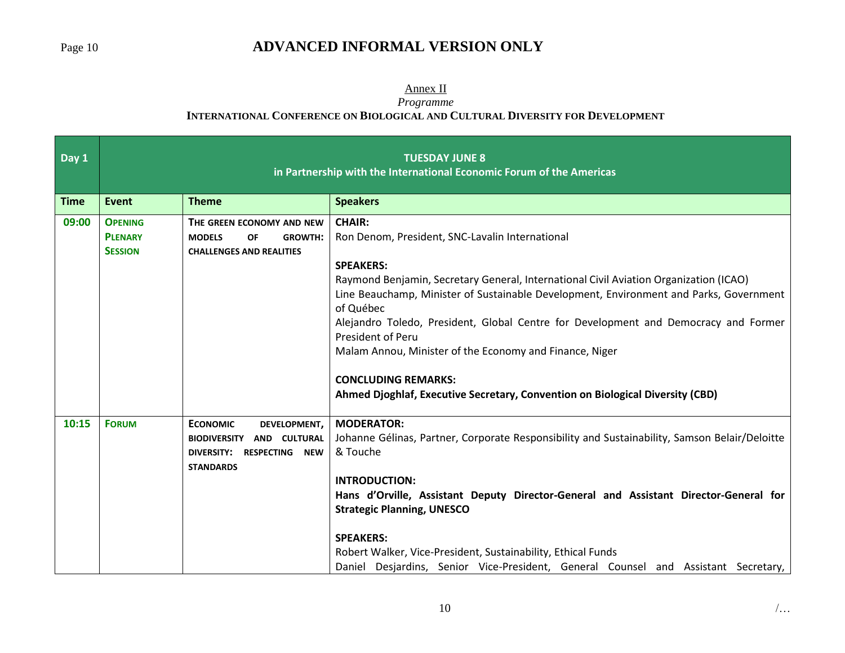### Page 10 **ADVANCED INFORMAL VERSION ONLY**

#### Annex II

*Programme*

#### **INTERNATIONAL CONFERENCE ON BIOLOGICAL AND CULTURAL DIVERSITY FOR DEVELOPMENT**

| Day 1       | <b>TUESDAY JUNE 8</b><br>in Partnership with the International Economic Forum of the Americas |                                                                                                                  |                                                                                                                                                                                                                                                                                                                                                                                                                                                                                                                                                                            |  |
|-------------|-----------------------------------------------------------------------------------------------|------------------------------------------------------------------------------------------------------------------|----------------------------------------------------------------------------------------------------------------------------------------------------------------------------------------------------------------------------------------------------------------------------------------------------------------------------------------------------------------------------------------------------------------------------------------------------------------------------------------------------------------------------------------------------------------------------|--|
| <b>Time</b> | <b>Event</b>                                                                                  | <b>Theme</b>                                                                                                     | <b>Speakers</b>                                                                                                                                                                                                                                                                                                                                                                                                                                                                                                                                                            |  |
| 09:00       | <b>OPENING</b><br><b>PLENARY</b><br><b>SESSION</b>                                            | THE GREEN ECONOMY AND NEW<br><b>MODELS</b><br><b>OF</b><br><b>GROWTH:</b><br><b>CHALLENGES AND REALITIES</b>     | <b>CHAIR:</b><br>Ron Denom, President, SNC-Lavalin International<br><b>SPEAKERS:</b><br>Raymond Benjamin, Secretary General, International Civil Aviation Organization (ICAO)<br>Line Beauchamp, Minister of Sustainable Development, Environment and Parks, Government<br>of Québec<br>Alejandro Toledo, President, Global Centre for Development and Democracy and Former<br>President of Peru<br>Malam Annou, Minister of the Economy and Finance, Niger<br><b>CONCLUDING REMARKS:</b><br>Ahmed Djoghlaf, Executive Secretary, Convention on Biological Diversity (CBD) |  |
| 10:15       | <b>FORUM</b>                                                                                  | <b>ECONOMIC</b><br>DEVELOPMENT,<br>BIODIVERSITY AND CULTURAL<br>DIVERSITY: RESPECTING<br>NEW<br><b>STANDARDS</b> | <b>MODERATOR:</b><br>Johanne Gélinas, Partner, Corporate Responsibility and Sustainability, Samson Belair/Deloitte<br>& Touche<br><b>INTRODUCTION:</b><br>Hans d'Orville, Assistant Deputy Director-General and Assistant Director-General for<br><b>Strategic Planning, UNESCO</b><br><b>SPEAKERS:</b><br>Robert Walker, Vice-President, Sustainability, Ethical Funds<br>Daniel Desjardins, Senior Vice-President, General Counsel and Assistant Secretary,                                                                                                              |  |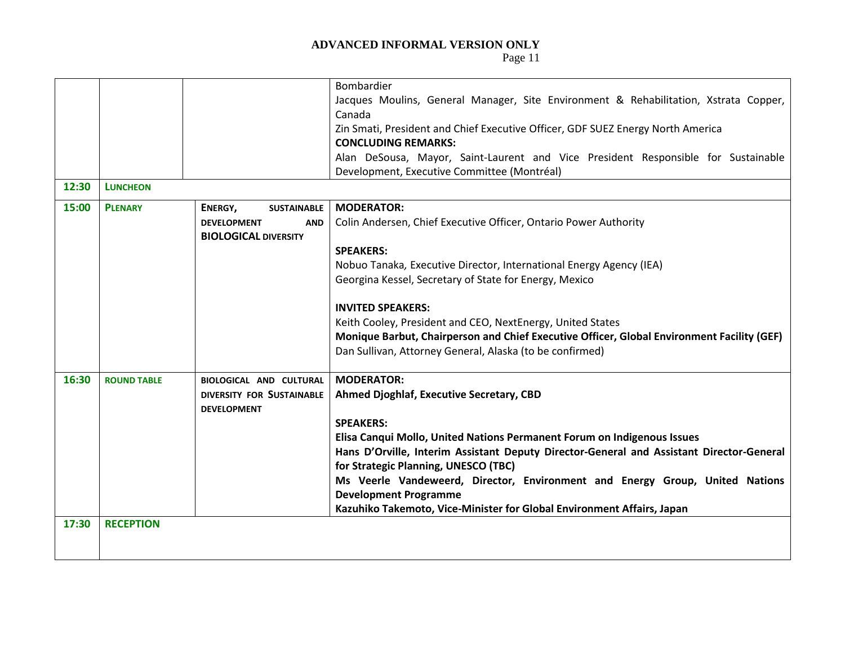|       |                    |                                  | Bombardier                                                                                 |
|-------|--------------------|----------------------------------|--------------------------------------------------------------------------------------------|
|       |                    |                                  | Jacques Moulins, General Manager, Site Environment & Rehabilitation, Xstrata Copper,       |
|       |                    |                                  | Canada                                                                                     |
|       |                    |                                  | Zin Smati, President and Chief Executive Officer, GDF SUEZ Energy North America            |
|       |                    |                                  | <b>CONCLUDING REMARKS:</b>                                                                 |
|       |                    |                                  | Alan DeSousa, Mayor, Saint-Laurent and Vice President Responsible for Sustainable          |
|       |                    |                                  | Development, Executive Committee (Montréal)                                                |
| 12:30 | <b>LUNCHEON</b>    |                                  |                                                                                            |
| 15:00 | <b>PLENARY</b>     | ENERGY,<br><b>SUSTAINABLE</b>    | <b>MODERATOR:</b>                                                                          |
|       |                    | <b>DEVELOPMENT</b><br><b>AND</b> | Colin Andersen, Chief Executive Officer, Ontario Power Authority                           |
|       |                    | <b>BIOLOGICAL DIVERSITY</b>      |                                                                                            |
|       |                    |                                  | <b>SPEAKERS:</b>                                                                           |
|       |                    |                                  | Nobuo Tanaka, Executive Director, International Energy Agency (IEA)                        |
|       |                    |                                  | Georgina Kessel, Secretary of State for Energy, Mexico                                     |
|       |                    |                                  |                                                                                            |
|       |                    |                                  | <b>INVITED SPEAKERS:</b>                                                                   |
|       |                    |                                  | Keith Cooley, President and CEO, NextEnergy, United States                                 |
|       |                    |                                  | Monique Barbut, Chairperson and Chief Executive Officer, Global Environment Facility (GEF) |
|       |                    |                                  | Dan Sullivan, Attorney General, Alaska (to be confirmed)                                   |
|       |                    |                                  |                                                                                            |
| 16:30 | <b>ROUND TABLE</b> | <b>BIOLOGICAL AND CULTURAL</b>   | <b>MODERATOR:</b>                                                                          |
|       |                    | <b>DIVERSITY FOR SUSTAINABLE</b> | Ahmed Djoghlaf, Executive Secretary, CBD                                                   |
|       |                    | <b>DEVELOPMENT</b>               |                                                                                            |
|       |                    |                                  | <b>SPEAKERS:</b>                                                                           |
|       |                    |                                  | Elisa Canqui Mollo, United Nations Permanent Forum on Indigenous Issues                    |
|       |                    |                                  | Hans D'Orville, Interim Assistant Deputy Director-General and Assistant Director-General   |
|       |                    |                                  | for Strategic Planning, UNESCO (TBC)                                                       |
|       |                    |                                  | Ms Veerle Vandeweerd, Director, Environment and Energy Group, United Nations               |
|       |                    |                                  | <b>Development Programme</b>                                                               |
|       |                    |                                  | Kazuhiko Takemoto, Vice-Minister for Global Environment Affairs, Japan                     |
| 17:30 | <b>RECEPTION</b>   |                                  |                                                                                            |
|       |                    |                                  |                                                                                            |
|       |                    |                                  |                                                                                            |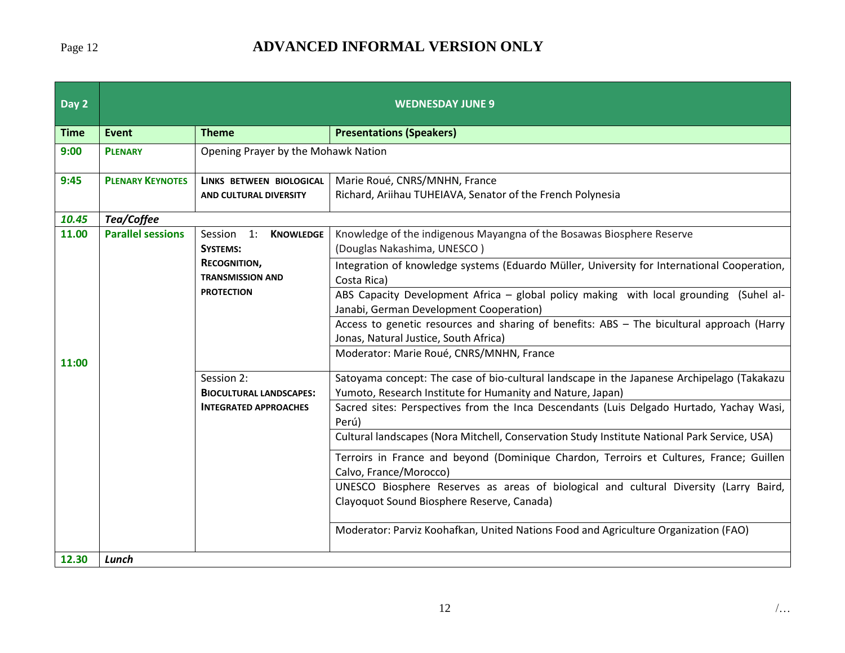# Page 12 **ADVANCED INFORMAL VERSION ONLY**

| Day 2       |                          | <b>WEDNESDAY JUNE 9</b>                        |                                                                                                                                                          |  |
|-------------|--------------------------|------------------------------------------------|----------------------------------------------------------------------------------------------------------------------------------------------------------|--|
| <b>Time</b> | Event                    | <b>Theme</b>                                   | <b>Presentations (Speakers)</b>                                                                                                                          |  |
| 9:00        | <b>PLENARY</b>           | Opening Prayer by the Mohawk Nation            |                                                                                                                                                          |  |
| 9:45        | <b>PLENARY KEYNOTES</b>  | LINKS BETWEEN BIOLOGICAL                       | Marie Roué, CNRS/MNHN, France                                                                                                                            |  |
|             |                          | AND CULTURAL DIVERSITY                         | Richard, Ariihau TUHEIAVA, Senator of the French Polynesia                                                                                               |  |
| 10.45       | Tea/Coffee               |                                                |                                                                                                                                                          |  |
| 11.00       | <b>Parallel sessions</b> | <b>KNOWLEDGE</b><br>Session 1:                 | Knowledge of the indigenous Mayangna of the Bosawas Biosphere Reserve                                                                                    |  |
|             |                          | <b>SYSTEMS:</b>                                | (Douglas Nakashima, UNESCO)                                                                                                                              |  |
|             |                          | <b>RECOGNITION,</b><br><b>TRANSMISSION AND</b> | Integration of knowledge systems (Eduardo Müller, University for International Cooperation,                                                              |  |
|             |                          | <b>PROTECTION</b>                              | Costa Rica)                                                                                                                                              |  |
|             |                          |                                                | ABS Capacity Development Africa - global policy making with local grounding (Suhel al-<br>Janabi, German Development Cooperation)                        |  |
|             |                          |                                                | Access to genetic resources and sharing of benefits: ABS - The bicultural approach (Harry                                                                |  |
|             |                          |                                                | Jonas, Natural Justice, South Africa)                                                                                                                    |  |
| 11:00       |                          |                                                | Moderator: Marie Roué, CNRS/MNHN, France                                                                                                                 |  |
|             |                          | Session 2:<br><b>BIOCULTURAL LANDSCAPES:</b>   | Satoyama concept: The case of bio-cultural landscape in the Japanese Archipelago (Takakazu<br>Yumoto, Research Institute for Humanity and Nature, Japan) |  |
|             |                          | <b>INTEGRATED APPROACHES</b>                   | Sacred sites: Perspectives from the Inca Descendants (Luis Delgado Hurtado, Yachay Wasi,<br>Perú)                                                        |  |
|             |                          |                                                | Cultural landscapes (Nora Mitchell, Conservation Study Institute National Park Service, USA)                                                             |  |
|             |                          |                                                | Terroirs in France and beyond (Dominique Chardon, Terroirs et Cultures, France; Guillen<br>Calvo, France/Morocco)                                        |  |
|             |                          |                                                | UNESCO Biosphere Reserves as areas of biological and cultural Diversity (Larry Baird,                                                                    |  |
|             |                          |                                                | Clayoquot Sound Biosphere Reserve, Canada)                                                                                                               |  |
|             |                          |                                                | Moderator: Parviz Koohafkan, United Nations Food and Agriculture Organization (FAO)                                                                      |  |
| 12.30       | Lunch                    |                                                |                                                                                                                                                          |  |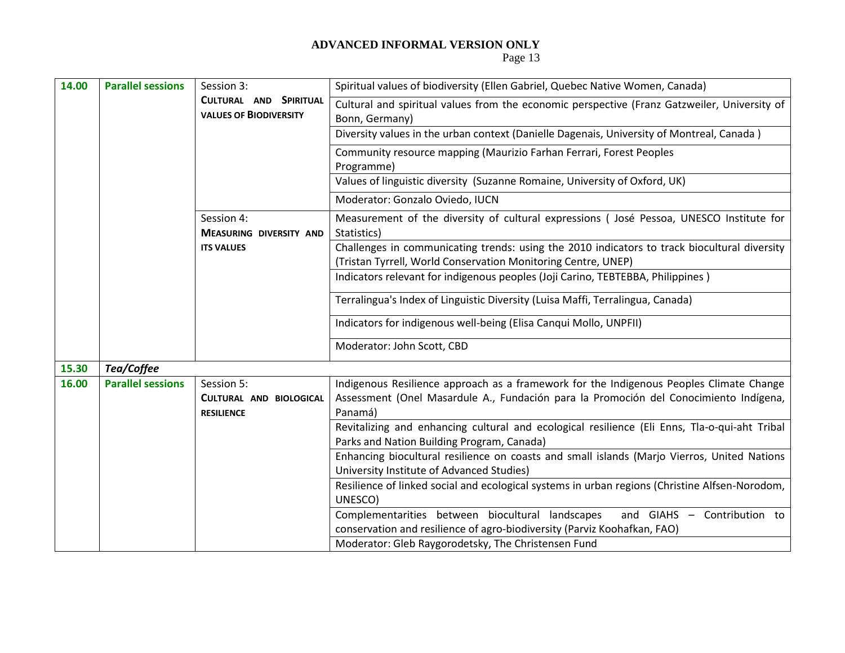| 14.00 | <b>Parallel sessions</b>                                | Session 3:                                                 | Spiritual values of biodiversity (Ellen Gabriel, Quebec Native Women, Canada)                                                                                                               |  |  |
|-------|---------------------------------------------------------|------------------------------------------------------------|---------------------------------------------------------------------------------------------------------------------------------------------------------------------------------------------|--|--|
|       | CULTURAL AND SPIRITUAL<br><b>VALUES OF BIODIVERSITY</b> |                                                            | Cultural and spiritual values from the economic perspective (Franz Gatzweiler, University of<br>Bonn, Germany)                                                                              |  |  |
|       |                                                         |                                                            | Diversity values in the urban context (Danielle Dagenais, University of Montreal, Canada)                                                                                                   |  |  |
|       |                                                         |                                                            | Community resource mapping (Maurizio Farhan Ferrari, Forest Peoples<br>Programme)                                                                                                           |  |  |
|       |                                                         |                                                            | Values of linguistic diversity (Suzanne Romaine, University of Oxford, UK)                                                                                                                  |  |  |
|       |                                                         |                                                            | Moderator: Gonzalo Oviedo, IUCN                                                                                                                                                             |  |  |
|       |                                                         | Session 4:<br><b>MEASURING DIVERSITY AND</b>               | Measurement of the diversity of cultural expressions (José Pessoa, UNESCO Institute for<br>Statistics)                                                                                      |  |  |
|       |                                                         | <b>ITS VALUES</b>                                          | Challenges in communicating trends: using the 2010 indicators to track biocultural diversity<br>(Tristan Tyrrell, World Conservation Monitoring Centre, UNEP)                               |  |  |
|       |                                                         |                                                            | Indicators relevant for indigenous peoples (Joji Carino, TEBTEBBA, Philippines)                                                                                                             |  |  |
|       |                                                         |                                                            | Terralingua's Index of Linguistic Diversity (Luisa Maffi, Terralingua, Canada)                                                                                                              |  |  |
|       |                                                         |                                                            | Indicators for indigenous well-being (Elisa Canqui Mollo, UNPFII)                                                                                                                           |  |  |
|       |                                                         |                                                            | Moderator: John Scott, CBD                                                                                                                                                                  |  |  |
| 15.30 | Tea/Coffee                                              |                                                            |                                                                                                                                                                                             |  |  |
| 16.00 | <b>Parallel sessions</b>                                | Session 5:<br>CULTURAL AND BIOLOGICAL<br><b>RESILIENCE</b> | Indigenous Resilience approach as a framework for the Indigenous Peoples Climate Change<br>Assessment (Onel Masardule A., Fundación para la Promoción del Conocimiento Indígena,<br>Panamá) |  |  |
|       |                                                         |                                                            | Revitalizing and enhancing cultural and ecological resilience (Eli Enns, Tla-o-qui-aht Tribal<br>Parks and Nation Building Program, Canada)                                                 |  |  |
|       |                                                         |                                                            | Enhancing biocultural resilience on coasts and small islands (Marjo Vierros, United Nations<br>University Institute of Advanced Studies)                                                    |  |  |
|       |                                                         |                                                            | Resilience of linked social and ecological systems in urban regions (Christine Alfsen-Norodom,<br>UNESCO)                                                                                   |  |  |
|       |                                                         |                                                            | Complementarities between biocultural landscapes<br>and GIAHS - Contribution to<br>conservation and resilience of agro-biodiversity (Parviz Koohafkan, FAO)                                 |  |  |
|       |                                                         |                                                            | Moderator: Gleb Raygorodetsky, The Christensen Fund                                                                                                                                         |  |  |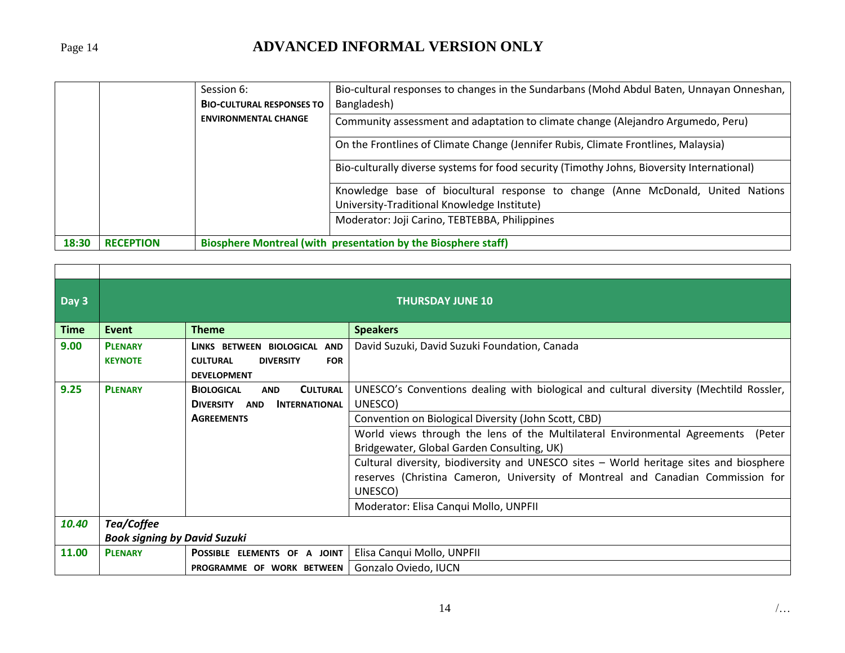# Page 14 **ADVANCED INFORMAL VERSION ONLY**

|       |                  | Session 6:                       | Bio-cultural responses to changes in the Sundarbans (Mohd Abdul Baten, Unnayan Onneshan,                                       |  |  |
|-------|------------------|----------------------------------|--------------------------------------------------------------------------------------------------------------------------------|--|--|
|       |                  | <b>BIO-CULTURAL RESPONSES TO</b> | Bangladesh)                                                                                                                    |  |  |
|       |                  | <b>ENVIRONMENTAL CHANGE</b>      | Community assessment and adaptation to climate change (Alejandro Argumedo, Peru)                                               |  |  |
|       |                  |                                  | On the Frontlines of Climate Change (Jennifer Rubis, Climate Frontlines, Malaysia)                                             |  |  |
|       |                  |                                  | Bio-culturally diverse systems for food security (Timothy Johns, Bioversity International)                                     |  |  |
|       |                  |                                  | Knowledge base of biocultural response to change (Anne McDonald, United Nations<br>University-Traditional Knowledge Institute) |  |  |
|       |                  |                                  | Moderator: Joji Carino, TEBTEBBA, Philippines                                                                                  |  |  |
| 18:30 | <b>RECEPTION</b> |                                  | Biosphere Montreal (with presentation by the Biosphere staff)                                                                  |  |  |

| Day 3       |                |                                                    | <b>THURSDAY JUNE 10</b>                                                                |  |
|-------------|----------------|----------------------------------------------------|----------------------------------------------------------------------------------------|--|
| <b>Time</b> | <b>Event</b>   | <b>Theme</b>                                       | <b>Speakers</b>                                                                        |  |
| 9.00        | <b>PLENARY</b> | LINKS BETWEEN BIOLOGICAL AND                       | David Suzuki, David Suzuki Foundation, Canada                                          |  |
|             | <b>KEYNOTE</b> | <b>DIVERSITY</b><br><b>FOR</b><br><b>CULTURAL</b>  |                                                                                        |  |
|             |                | <b>DEVELOPMENT</b>                                 |                                                                                        |  |
| 9.25        | <b>PLENARY</b> | <b>CULTURAL</b><br><b>BIOLOGICAL</b><br><b>AND</b> | UNESCO's Conventions dealing with biological and cultural diversity (Mechtild Rossler, |  |
|             |                | <b>DIVERSITY</b><br><b>INTERNATIONAL</b><br>AND    | UNESCO)                                                                                |  |
|             |                | <b>AGREEMENTS</b>                                  | Convention on Biological Diversity (John Scott, CBD)                                   |  |
|             |                |                                                    | World views through the lens of the Multilateral Environmental Agreements<br>(Peter    |  |
|             |                |                                                    | Bridgewater, Global Garden Consulting, UK)                                             |  |
|             |                |                                                    | Cultural diversity, biodiversity and UNESCO sites - World heritage sites and biosphere |  |
|             |                |                                                    | reserves (Christina Cameron, University of Montreal and Canadian Commission for        |  |
|             |                |                                                    | UNESCO)                                                                                |  |
|             |                |                                                    | Moderator: Elisa Canqui Mollo, UNPFII                                                  |  |
| 10.40       | Tea/Coffee     |                                                    |                                                                                        |  |
|             |                | <b>Book signing by David Suzuki</b>                |                                                                                        |  |
| 11.00       | <b>PLENARY</b> | POSSIBLE ELEMENTS OF A JOINT                       | Elisa Canqui Mollo, UNPFII                                                             |  |
|             |                | PROGRAMME OF WORK BETWEEN                          | Gonzalo Oviedo, IUCN                                                                   |  |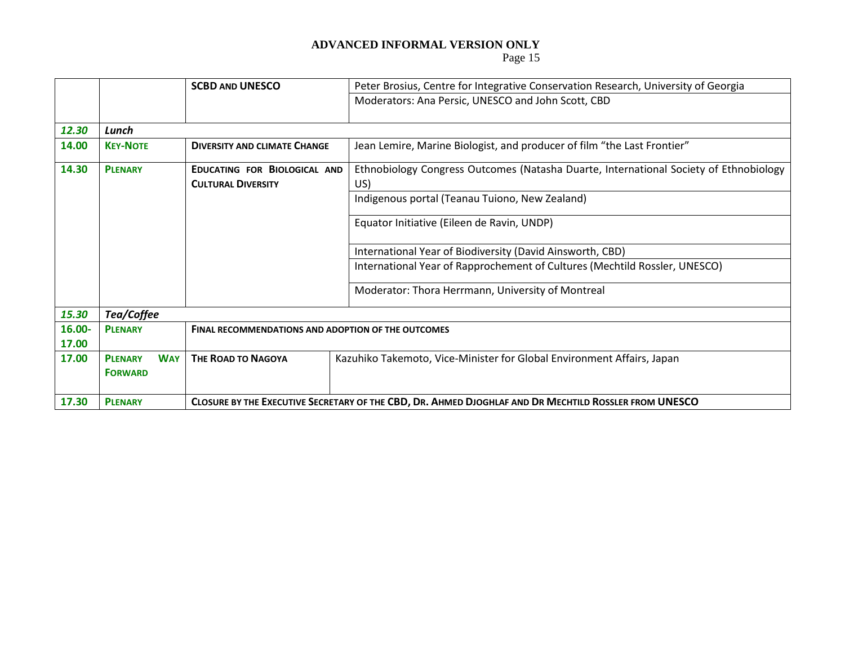|        |                              | <b>SCBD AND UNESCO</b>                                    | Peter Brosius, Centre for Integrative Conservation Research, University of Georgia                    |
|--------|------------------------------|-----------------------------------------------------------|-------------------------------------------------------------------------------------------------------|
|        |                              |                                                           | Moderators: Ana Persic, UNESCO and John Scott, CBD                                                    |
|        |                              |                                                           |                                                                                                       |
| 12.30  | Lunch                        |                                                           |                                                                                                       |
| 14.00  | <b>KEY-NOTE</b>              | <b>DIVERSITY AND CLIMATE CHANGE</b>                       | Jean Lemire, Marine Biologist, and producer of film "the Last Frontier"                               |
| 14.30  | <b>PLENARY</b>               | EDUCATING FOR BIOLOGICAL AND                              | Ethnobiology Congress Outcomes (Natasha Duarte, International Society of Ethnobiology                 |
|        |                              | <b>CULTURAL DIVERSITY</b>                                 | US)                                                                                                   |
|        |                              |                                                           | Indigenous portal (Teanau Tuiono, New Zealand)                                                        |
|        |                              |                                                           | Equator Initiative (Eileen de Ravin, UNDP)                                                            |
|        |                              |                                                           | International Year of Biodiversity (David Ainsworth, CBD)                                             |
|        |                              |                                                           | International Year of Rapprochement of Cultures (Mechtild Rossler, UNESCO)                            |
|        |                              |                                                           | Moderator: Thora Herrmann, University of Montreal                                                     |
| 15.30  | Tea/Coffee                   |                                                           |                                                                                                       |
| 16.00- | <b>PLENARY</b>               | <b>FINAL RECOMMENDATIONS AND ADOPTION OF THE OUTCOMES</b> |                                                                                                       |
| 17.00  |                              |                                                           |                                                                                                       |
| 17.00  | <b>WAY</b><br><b>PLENARY</b> | <b>THE ROAD TO NAGOYA</b>                                 | Kazuhiko Takemoto, Vice-Minister for Global Environment Affairs, Japan                                |
|        | <b>FORWARD</b>               |                                                           |                                                                                                       |
|        |                              |                                                           |                                                                                                       |
| 17.30  | <b>PLENARY</b>               |                                                           | CLOSURE BY THE EXECUTIVE SECRETARY OF THE CBD, DR. AHMED DJOGHLAF AND DR MECHTILD ROSSLER FROM UNESCO |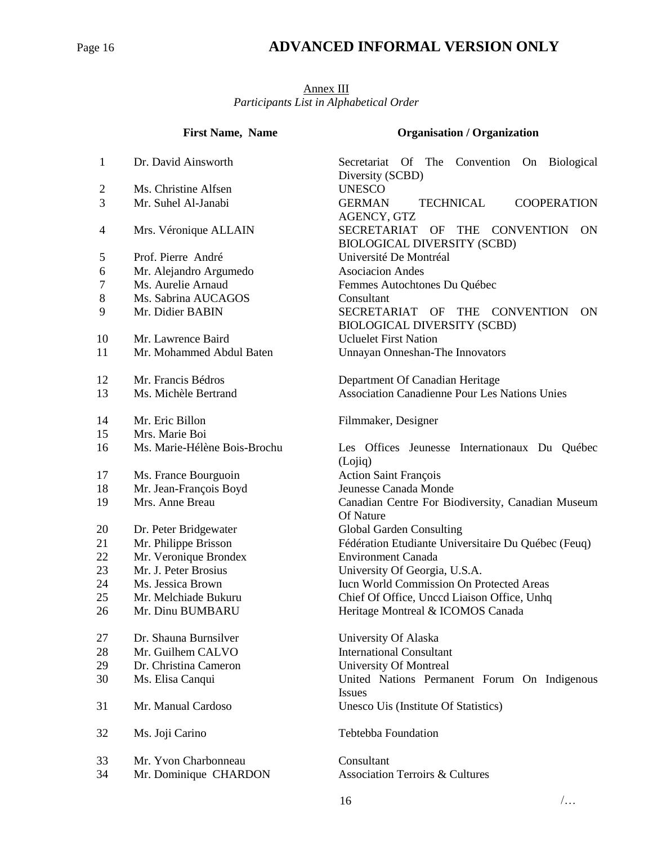# Page 16 **ADVANCED INFORMAL VERSION ONLY**

#### Annex III *Participants List in Alphabetical Order*

|                          | <b>First Name, Name</b><br><b>Organisation / Organization</b> |                                                                    |  |
|--------------------------|---------------------------------------------------------------|--------------------------------------------------------------------|--|
|                          |                                                               |                                                                    |  |
| $\mathbf{1}$             | Dr. David Ainsworth                                           | Secretariat<br>Of The Convention On Biological<br>Diversity (SCBD) |  |
| 2                        | Ms. Christine Alfsen                                          | <b>UNESCO</b>                                                      |  |
| 3                        | Mr. Suhel Al-Janabi                                           | <b>COOPERATION</b><br><b>GERMAN</b><br><b>TECHNICAL</b>            |  |
|                          |                                                               | AGENCY, GTZ                                                        |  |
| $\overline{\mathcal{A}}$ | Mrs. Véronique ALLAIN                                         | <b>SECRETARIAT</b><br>OF THE CONVENTION<br>ON                      |  |
|                          |                                                               | <b>BIOLOGICAL DIVERSITY (SCBD)</b>                                 |  |
| 5                        | Prof. Pierre André                                            | Université De Montréal                                             |  |
| 6                        | Mr. Alejandro Argumedo                                        | <b>Asociacion Andes</b>                                            |  |
| 7                        | Ms. Aurelie Arnaud                                            | Femmes Autochtones Du Québec                                       |  |
| 8                        | Ms. Sabrina AUCAGOS                                           | Consultant                                                         |  |
| 9                        | Mr. Didier BABIN                                              | SECRETARIAT OF THE<br><b>CONVENTION</b><br><b>ON</b>               |  |
|                          |                                                               | <b>BIOLOGICAL DIVERSITY (SCBD)</b>                                 |  |
| 10                       | Mr. Lawrence Baird                                            | <b>Ucluelet First Nation</b>                                       |  |
| 11                       | Mr. Mohammed Abdul Baten                                      | Unnayan Onneshan-The Innovators                                    |  |
| 12                       | Mr. Francis Bédros                                            | Department Of Canadian Heritage                                    |  |
| 13                       | Ms. Michèle Bertrand                                          | <b>Association Canadienne Pour Les Nations Unies</b>               |  |
| 14                       | Mr. Eric Billon                                               | Filmmaker, Designer                                                |  |
| 15                       | Mrs. Marie Boi                                                |                                                                    |  |
| 16                       | Ms. Marie-Hélène Bois-Brochu                                  | Les Offices Jeunesse Internationaux Du Québec                      |  |
|                          |                                                               | (Lojiq)                                                            |  |
| 17                       | Ms. France Bourguoin                                          | <b>Action Saint François</b>                                       |  |
| 18                       | Mr. Jean-François Boyd                                        | Jeunesse Canada Monde                                              |  |
| 19                       | Mrs. Anne Breau                                               | Canadian Centre For Biodiversity, Canadian Museum                  |  |
|                          |                                                               | Of Nature                                                          |  |
| 20                       | Dr. Peter Bridgewater                                         | Global Garden Consulting                                           |  |
| 21                       | Mr. Philippe Brisson                                          | Fédération Etudiante Universitaire Du Québec (Feuq)                |  |
| 22                       | Mr. Veronique Brondex                                         | <b>Environment Canada</b>                                          |  |
| 23                       | Mr. J. Peter Brosius                                          | University Of Georgia, U.S.A.                                      |  |
| 24                       | Ms. Jessica Brown                                             | Iucn World Commission On Protected Areas                           |  |
| 25                       | Mr. Melchiade Bukuru                                          | Chief Of Office, Unccd Liaison Office, Unhq                        |  |
| 26                       | Mr. Dinu BUMBARU                                              | Heritage Montreal & ICOMOS Canada                                  |  |
| 27                       | Dr. Shauna Burnsilver                                         | University Of Alaska                                               |  |
| 28                       | Mr. Guilhem CALVO                                             | <b>International Consultant</b>                                    |  |
| 29                       | Dr. Christina Cameron                                         | <b>University Of Montreal</b>                                      |  |
| 30                       | Ms. Elisa Canqui                                              | United Nations Permanent Forum On Indigenous                       |  |
|                          |                                                               | Issues                                                             |  |
| 31                       | Mr. Manual Cardoso                                            | Unesco Uis (Institute Of Statistics)                               |  |
| 32                       | Ms. Joji Carino                                               | Tebtebba Foundation                                                |  |
| 33                       | Mr. Yvon Charbonneau                                          | Consultant                                                         |  |
| 34                       | Mr. Dominique CHARDON                                         | <b>Association Terroirs &amp; Cultures</b>                         |  |
|                          |                                                               |                                                                    |  |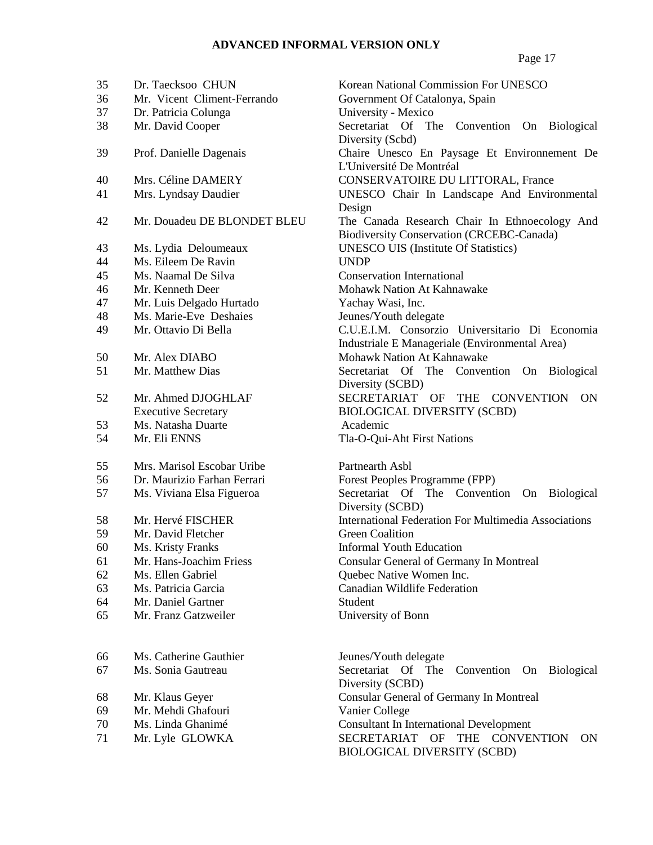| 35 | Dr. Taecksoo CHUN                           | Korear        |
|----|---------------------------------------------|---------------|
| 36 | Mr. Vicent Climent-Ferrando                 | Goveri        |
| 37 | Dr. Patricia Colunga                        | Univer        |
| 38 | Mr. David Cooper                            | Secreta       |
|    |                                             | Divers        |
| 39 | Prof. Danielle Dagenais                     | Chaire        |
|    |                                             | <b>L'Univ</b> |
| 40 | Mrs. Céline DAMERY                          | <b>CONS</b>   |
| 41 | Mrs. Lyndsay Daudier                        | <b>UNES</b>   |
|    |                                             | Design        |
| 42 | Mr. Douadeu DE BLONDET BLEU                 | The C         |
|    |                                             | Biodiv        |
| 43 |                                             | <b>UNES</b>   |
| 44 | Ms. Lydia Deloumeaux<br>Ms. Eileem De Ravin | <b>UNDP</b>   |
| 45 | Ms. Naamal De Silva                         | Consei        |
|    |                                             | Mohav         |
| 46 | Mr. Kenneth Deer                            |               |
| 47 | Mr. Luis Delgado Hurtado                    | Yacha         |
| 48 | Ms. Marie-Eve Deshaies                      | <b>Jeunes</b> |
| 49 | Mr. Ottavio Di Bella                        | C.U.E.        |
|    |                                             | Industi       |
| 50 | Mr. Alex DIABO                              | Mohav         |
| 51 | Mr. Matthew Dias                            | Secreta       |
|    |                                             | Divers        |
| 52 | Mr. Ahmed DJOGHLAF                          | <b>SECRI</b>  |
|    | <b>Executive Secretary</b>                  | <b>BIOLC</b>  |
| 53 | Ms. Natasha Duarte                          | Acade         |
| 54 | Mr. Eli ENNS                                | Tla-O-        |
| 55 | Mrs. Marisol Escobar Uribe                  | Partnea       |
| 56 | Dr. Maurizio Farhan Ferrari                 | Forest        |
| 57 | Ms. Viviana Elsa Figueroa                   | Secreta       |
|    |                                             | <b>Divers</b> |
| 58 | Mr. Hervé FISCHER                           | Interna       |
| 59 | Mr. David Fletcher                          | Green         |
| 60 | Ms. Kristy Franks                           | Inform        |
| 61 | Mr. Hans-Joachim Friess                     | Consul        |
| 62 | Ms. Ellen Gabriel                           | Quebe         |
| 63 | Ms. Patricia Garcia                         | Canadi        |
| 64 | Mr. Daniel Gartner                          | Studen        |
| 65 | Mr. Franz Gatzweiler                        | Univer        |
|    |                                             |               |
| 66 | Ms. Catherine Gauthier                      | <b>Jeunes</b> |
| 67 | Ms. Sonia Gautreau                          | Secreta       |
|    |                                             | Divers        |
| 68 | Mr. Klaus Geyer                             | Consul        |
| 69 | Mr. Mehdi Ghafouri                          | Vanier        |
| 70 | Ms. Linda Ghanimé                           | Consul        |
| 71 | $Mr$ I vla GI OWK $\Delta$                  | <b>SECRI</b>  |
|    |                                             |               |

Korean National Commission For UNESCO Government Of Catalonya, Spain University - Mexico Secretariat Of The Convention On Biological Diversity (Scbd) Chaire Unesco En Paysage Et Environnement De L'Université De Montréal CONSERVATOIRE DU LITTORAL, France UNESCO Chair In Landscape And Environmental Design The Canada Research Chair In Ethnoecology And Biodiversity Conservation (CRCEBC-Canada) UNESCO UIS (Institute Of Statistics) Conservation International Mohawk Nation At Kahnawake Yachay Wasi, Inc. Jeunes/Youth delegate C.U.E.I.M. Consorzio Universitario Di Economia Industriale E Manageriale (Environmental Area) Mohawk Nation At Kahnawake Secretariat Of The Convention On Biological Diversity (SCBD) SECRETARIAT OF THE CONVENTION ON BIOLOGICAL DIVERSITY (SCBD) Academic Tla-O-Qui-Aht First Nations

Partnearth Asbl Forest Peoples Programme (FPP) Secretariat Of The Convention On Biological Diversity (SCBD) International Federation For Multimedia Associations **Green Coalition** Informal Youth Education Consular General of Germany In Montreal Quebec Native Women Inc. Canadian Wildlife Federation Student University of Bonn

Jeunes/Youth delegate Secretariat Of The Convention On Biological Diversity (SCBD) Consular General of Germany In Montreal Vanier College **Consultant In International Development** 71 Mr. Lyle GLOWKA SECRETARIAT OF THE CONVENTION ON BIOLOGICAL DIVERSITY (SCBD)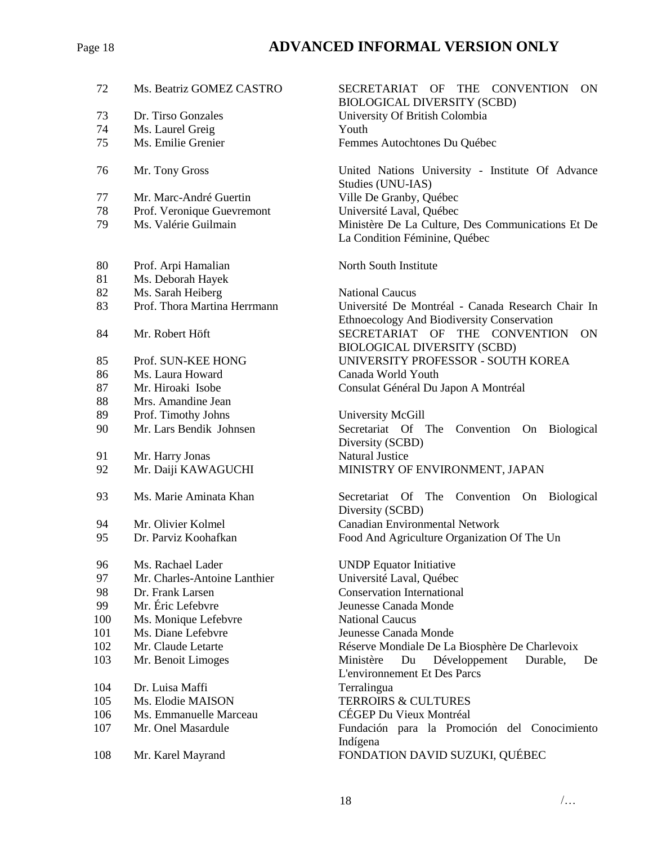## Page 18 **ADVANCED INFORMAL VERSION ONLY**

| 72  | Ms. Beatriz GOMEZ CASTRO                           | <b>SECR</b><br><b>BIOL</b> |
|-----|----------------------------------------------------|----------------------------|
| 73  | Dr. Tirso Gonzales                                 | Unive                      |
| 74  | Ms. Laurel Greig                                   | Youth                      |
| 75  | Ms. Emilie Grenier                                 | Femm                       |
|     |                                                    |                            |
| 76  | Mr. Tony Gross                                     | United                     |
| 77  | Mr. Marc-André Guertin                             | Studie<br>Ville I          |
| 78  |                                                    | Unive                      |
| 79  | Prof. Veronique Guevremont<br>Ms. Valérie Guilmain | Minist                     |
|     |                                                    | La Co                      |
|     |                                                    |                            |
| 80  | Prof. Arpi Hamalian                                | North                      |
| 81  | Ms. Deborah Hayek                                  |                            |
| 82  | Ms. Sarah Heiberg                                  | Nation                     |
| 83  | Prof. Thora Martina Herrmann                       | Unive                      |
|     |                                                    | Ethno                      |
| 84  | Mr. Robert Höft                                    | <b>SECR</b>                |
|     |                                                    | <b>BIOL</b>                |
| 85  | Prof. SUN-KEE HONG                                 | <b>UNIV</b>                |
| 86  | Ms. Laura Howard                                   | Canad                      |
| 87  | Mr. Hiroaki Isobe                                  | Consu                      |
| 88  | Mrs. Amandine Jean                                 |                            |
| 89  | Prof. Timothy Johns                                | Unive                      |
| 90  | Mr. Lars Bendik Johnsen                            | Secret                     |
|     |                                                    | Divers                     |
| 91  | Mr. Harry Jonas                                    | Natura                     |
| 92  | Mr. Daiji KAWAGUCHI                                | <b>MINIS</b>               |
| 93  | Ms. Marie Aminata Khan                             | Secret                     |
|     |                                                    | Divers                     |
| 94  | Mr. Olivier Kolmel                                 | Canad                      |
| 95  | Dr. Parviz Koohafkan                               | Food                       |
| 96  | Ms. Rachael Lader                                  | <b>UNDF</b>                |
| 97  | Mr. Charles-Antoine Lanthier                       | Unive                      |
| 98  | Dr. Frank Larsen                                   | Conse                      |
| 99  | Mr. Éric Lefebvre                                  | Jeunes                     |
| 100 | Ms. Monique Lefebvre                               | Nation                     |
| 101 | Ms. Diane Lefebvre                                 | Jeunes                     |
| 102 | Mr. Claude Letarte                                 | Réser                      |
| 103 | Mr. Benoit Limoges                                 | Minist                     |
|     |                                                    | L'envi                     |
| 104 | Dr. Luisa Maffi                                    | Terral                     |
| 105 | Ms. Elodie MAISON                                  | <b>TERR</b>                |
| 106 | Ms. Emmanuelle Marceau                             | CÉGE                       |
| 107 | Mr. Onel Masardule                                 | Funda                      |
|     |                                                    | Indíge                     |
| 108 | Mr. Karel Mayrand                                  | EONIT                      |

SECRETARIAT OF THE CONVENTION ON BIOLOGICAL DIVERSITY (SCBD) University Of British Colombia Femmes Autochtones Du Québec

United Nations University - Institute Of Advance Studies (UNU-IAS) Ville De Granby, Québec Université Laval, Québec Ministère De La Culture, Des Communications Et De La Condition Féminine, Québec

North South Institute

**National Caucus** Université De Montréal - Canada Research Chair In Ethnoecology And Biodiversity Conservation SECRETARIAT OF THE CONVENTION ON BIOLOGICAL DIVERSITY (SCBD) UNIVERSITY PROFESSOR - SOUTH KOREA Canada World Youth Consulat Général Du Japon A Montréal

University McGill Secretariat Of The Convention On Biological Diversity (SCBD) Natural Justice MINISTRY OF ENVIRONMENT, JAPAN

Secretariat Of The Convention On Biological Diversity (SCBD) Canadian Environmental Network Food And Agriculture Organization Of The Un

UNDP Equator Initiative Université Laval, Québec Conservation International Jeunesse Canada Monde **National Caucus** Jeunesse Canada Monde Réserve Mondiale De La Biosphère De Charlevoix Ministère Du Développement Durable, De L'environnement Et Des Parcs Terralingua **TERROIRS & CULTURES** CÉGEP Du Vieux Montréal Fundación para la Promoción del Conocimiento Indígena 108 Mr. Karel Mayrand FONDATION DAVID SUZUKI, QUÉBEC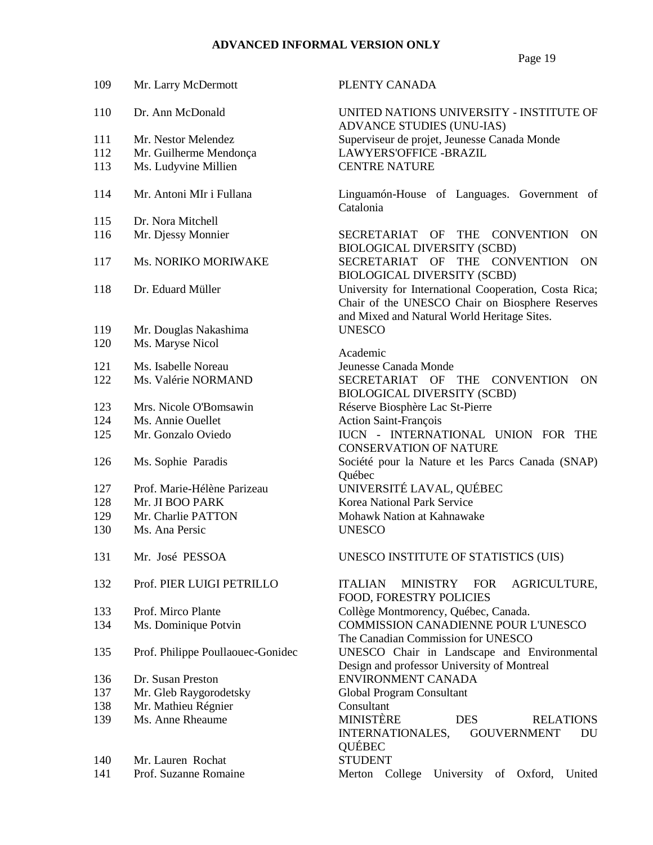| 109 | Mr. Larry McDermott               | PLENTY CANADA                                                                                                                                           |
|-----|-----------------------------------|---------------------------------------------------------------------------------------------------------------------------------------------------------|
| 110 | Dr. Ann McDonald                  | UNITED NATIONS UNIVERSITY - INSTITUTE OF<br>ADVANCE STUDIES (UNU-IAS)                                                                                   |
| 111 | Mr. Nestor Melendez               | Superviseur de projet, Jeunesse Canada Monde                                                                                                            |
| 112 | Mr. Guilherme Mendonça            | <b>LAWYERS'OFFICE -BRAZIL</b>                                                                                                                           |
| 113 | Ms. Ludyvine Millien              | <b>CENTRE NATURE</b>                                                                                                                                    |
|     |                                   |                                                                                                                                                         |
| 114 | Mr. Antoni MIr i Fullana          | Linguamón-House of Languages. Government of<br>Catalonia                                                                                                |
| 115 | Dr. Nora Mitchell                 |                                                                                                                                                         |
| 116 | Mr. Djessy Monnier                | SECRETARIAT OF THE CONVENTION<br><b>ON</b><br><b>BIOLOGICAL DIVERSITY (SCBD)</b>                                                                        |
| 117 | Ms. NORIKO MORIWAKE               | SECRETARIAT OF THE CONVENTION<br><b>ON</b><br><b>BIOLOGICAL DIVERSITY (SCBD)</b>                                                                        |
| 118 | Dr. Eduard Müller                 | University for International Cooperation, Costa Rica;<br>Chair of the UNESCO Chair on Biosphere Reserves<br>and Mixed and Natural World Heritage Sites. |
| 119 | Mr. Douglas Nakashima             | <b>UNESCO</b>                                                                                                                                           |
| 120 | Ms. Maryse Nicol                  |                                                                                                                                                         |
|     |                                   | Academic                                                                                                                                                |
| 121 | Ms. Isabelle Noreau               | Jeunesse Canada Monde                                                                                                                                   |
| 122 | Ms. Valérie NORMAND               | SECRETARIAT OF THE CONVENTION<br>ON.<br><b>BIOLOGICAL DIVERSITY (SCBD)</b>                                                                              |
| 123 | Mrs. Nicole O'Bomsawin            | Réserve Biosphère Lac St-Pierre                                                                                                                         |
| 124 | Ms. Annie Ouellet                 | <b>Action Saint-François</b>                                                                                                                            |
| 125 | Mr. Gonzalo Oviedo                | IUCN - INTERNATIONAL UNION FOR THE<br><b>CONSERVATION OF NATURE</b>                                                                                     |
| 126 | Ms. Sophie Paradis                | Société pour la Nature et les Parcs Canada (SNAP)<br>Québec                                                                                             |
| 127 | Prof. Marie-Hélène Parizeau       | UNIVERSITÉ LAVAL, QUÉBEC                                                                                                                                |
| 128 | Mr. JI BOO PARK                   | Korea National Park Service                                                                                                                             |
| 129 | Mr. Charlie PATTON                | Mohawk Nation at Kahnawake                                                                                                                              |
| 130 | Ms. Ana Persic                    | <b>UNESCO</b>                                                                                                                                           |
| 131 | Mr. José PESSOA                   | UNESCO INSTITUTE OF STATISTICS (UIS)                                                                                                                    |
| 132 | Prof. PIER LUIGI PETRILLO         | <b>ITALIAN</b><br><b>MINISTRY</b><br><b>FOR</b><br><b>AGRICULTURE,</b><br>FOOD, FORESTRY POLICIES                                                       |
| 133 | Prof. Mirco Plante                | Collège Montmorency, Québec, Canada.                                                                                                                    |
| 134 | Ms. Dominique Potvin              | <b>COMMISSION CANADIENNE POUR L'UNESCO</b><br>The Canadian Commission for UNESCO                                                                        |
| 135 | Prof. Philippe Poullaouec-Gonidec | UNESCO Chair in Landscape and Environmental<br>Design and professor University of Montreal                                                              |
| 136 | Dr. Susan Preston                 | ENVIRONMENT CANADA                                                                                                                                      |
| 137 | Mr. Gleb Raygorodetsky            | Global Program Consultant                                                                                                                               |
| 138 | Mr. Mathieu Régnier               | Consultant                                                                                                                                              |
| 139 | Ms. Anne Rheaume                  | <b>MINISTÈRE</b><br><b>DES</b><br><b>RELATIONS</b><br>INTERNATIONALES,<br><b>GOUVERNMENT</b><br>DU<br>QUÉBEC                                            |
| 140 | Mr. Lauren Rochat                 | <b>STUDENT</b>                                                                                                                                          |
| 141 | Prof. Suzanne Romaine             | Merton College<br>University of Oxford,<br>United                                                                                                       |
|     |                                   |                                                                                                                                                         |